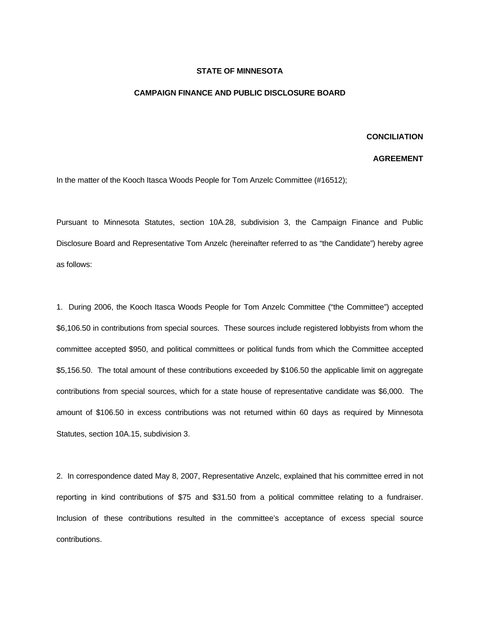## **STATE OF MINNESOTA**

## **CAMPAIGN FINANCE AND PUBLIC DISCLOSURE BOARD**

## **CONCILIATION**

## **AGREEMENT**

In the matter of the Kooch Itasca Woods People for Tom Anzelc Committee (#16512);

Pursuant to Minnesota Statutes, section 10A.28, subdivision 3, the Campaign Finance and Public Disclosure Board and Representative Tom Anzelc (hereinafter referred to as "the Candidate") hereby agree as follows:

1. During 2006, the Kooch Itasca Woods People for Tom Anzelc Committee ("the Committee") accepted \$6,106.50 in contributions from special sources. These sources include registered lobbyists from whom the committee accepted \$950, and political committees or political funds from which the Committee accepted \$5,156.50. The total amount of these contributions exceeded by \$106.50 the applicable limit on aggregate contributions from special sources, which for a state house of representative candidate was \$6,000. The amount of \$106.50 in excess contributions was not returned within 60 days as required by Minnesota Statutes, section 10A.15, subdivision 3.

2. In correspondence dated May 8, 2007, Representative Anzelc, explained that his committee erred in not reporting in kind contributions of \$75 and \$31.50 from a political committee relating to a fundraiser. Inclusion of these contributions resulted in the committee's acceptance of excess special source contributions.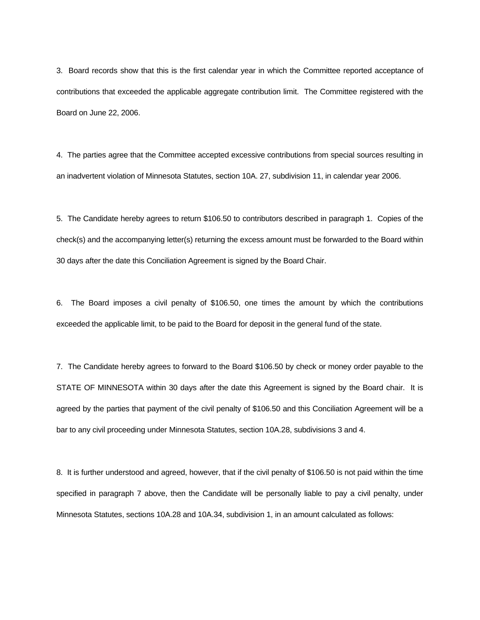3. Board records show that this is the first calendar year in which the Committee reported acceptance of contributions that exceeded the applicable aggregate contribution limit. The Committee registered with the Board on June 22, 2006.

4. The parties agree that the Committee accepted excessive contributions from special sources resulting in an inadvertent violation of Minnesota Statutes, section 10A. 27, subdivision 11, in calendar year 2006.

5. The Candidate hereby agrees to return \$106.50 to contributors described in paragraph 1. Copies of the check(s) and the accompanying letter(s) returning the excess amount must be forwarded to the Board within 30 days after the date this Conciliation Agreement is signed by the Board Chair.

6. The Board imposes a civil penalty of \$106.50, one times the amount by which the contributions exceeded the applicable limit, to be paid to the Board for deposit in the general fund of the state.

7. The Candidate hereby agrees to forward to the Board \$106.50 by check or money order payable to the STATE OF MINNESOTA within 30 days after the date this Agreement is signed by the Board chair. It is agreed by the parties that payment of the civil penalty of \$106.50 and this Conciliation Agreement will be a bar to any civil proceeding under Minnesota Statutes, section 10A.28, subdivisions 3 and 4.

8. It is further understood and agreed, however, that if the civil penalty of \$106.50 is not paid within the time specified in paragraph 7 above, then the Candidate will be personally liable to pay a civil penalty, under Minnesota Statutes, sections 10A.28 and 10A.34, subdivision 1, in an amount calculated as follows: